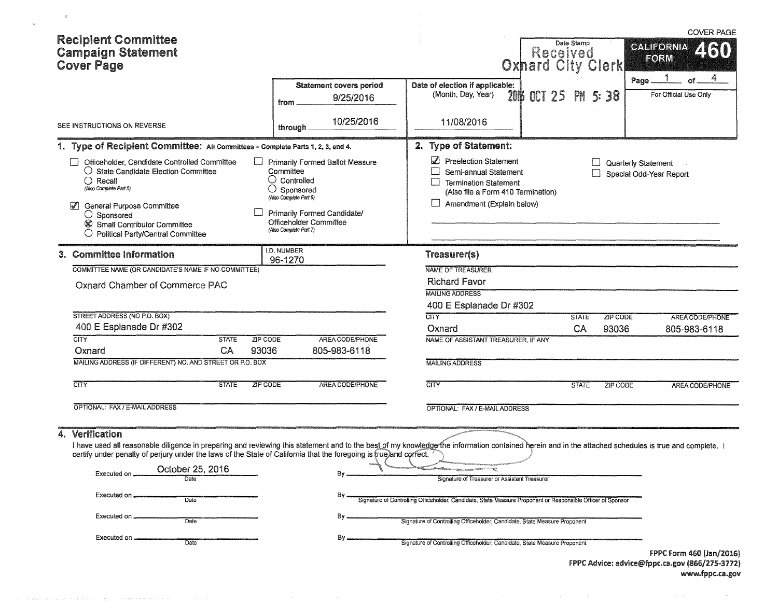| <b>Recipient Committee</b><br><b>Campaign Statement</b><br><b>Cover Page</b>                                                                                                                                                                                                                                                                                                                                                                             |                                                                                                                                                                                                                |                                                                                                                                                                                                                                                                                                                        | Date Stamp<br>Received<br><b>Oxhard City Clerk</b> | <b>COVER PAGE</b><br><b>GALIFORNIA</b><br>FORM                    |
|----------------------------------------------------------------------------------------------------------------------------------------------------------------------------------------------------------------------------------------------------------------------------------------------------------------------------------------------------------------------------------------------------------------------------------------------------------|----------------------------------------------------------------------------------------------------------------------------------------------------------------------------------------------------------------|------------------------------------------------------------------------------------------------------------------------------------------------------------------------------------------------------------------------------------------------------------------------------------------------------------------------|----------------------------------------------------|-------------------------------------------------------------------|
|                                                                                                                                                                                                                                                                                                                                                                                                                                                          | <b>Statement covers period</b><br>9/25/2016<br>from                                                                                                                                                            | Date of election if applicable:<br>(Month, Day, Year)                                                                                                                                                                                                                                                                  | 2016 OCT 25<br>PH.<br>S: 38                        | 4<br>Page.<br>For Official Use Only                               |
| SEE INSTRUCTIONS ON REVERSE                                                                                                                                                                                                                                                                                                                                                                                                                              | 10/25/2016<br>through                                                                                                                                                                                          | 11/08/2016                                                                                                                                                                                                                                                                                                             |                                                    |                                                                   |
| 1. Type of Recipient Committee: All Committees - Complete Parts 1, 2, 3, and 4.                                                                                                                                                                                                                                                                                                                                                                          |                                                                                                                                                                                                                | 2. Type of Statement:                                                                                                                                                                                                                                                                                                  |                                                    |                                                                   |
| Officeholder, Candidate Controlled Committee<br>$\bigcirc$ State Candidate Election Committee<br>$\bigcap$ Recall<br>(Also Complete Part 5)<br>$\blacktriangledown$<br><b>General Purpose Committee</b><br>$\bigcirc$ Sponsored<br>Small Contributor Committee<br>$\bigcirc$ Political Party/Central Committee                                                                                                                                           | <b>Primarily Formed Ballot Measure</b><br>Committee<br>$\cup$ Controlled<br>O<br>Sponsored<br>(Also Complete Part 6)<br>Primarily Formed Candidate/<br><b>Officeholder Committee</b><br>(Also Complete Part 7) | Preelection Statement<br>Semi-annual Statement<br><b>Termination Statement</b><br>(Also file a Form 410 Termination)<br>$\Box$<br>Amendment (Explain below)                                                                                                                                                            |                                                    | Quarterly Statement<br>Special Odd-Year Report                    |
| 3. Committee Information                                                                                                                                                                                                                                                                                                                                                                                                                                 | I.D. NUMBER<br>96-1270                                                                                                                                                                                         | Treasurer(s)                                                                                                                                                                                                                                                                                                           |                                                    |                                                                   |
| COMMITTEE NAME (OR CANDIDATE'S NAME IF NO COMMITTEE)                                                                                                                                                                                                                                                                                                                                                                                                     |                                                                                                                                                                                                                | NAME OF TREASURER                                                                                                                                                                                                                                                                                                      |                                                    |                                                                   |
| Oxnard Chamber of Commerce PAC                                                                                                                                                                                                                                                                                                                                                                                                                           |                                                                                                                                                                                                                | <b>Richard Favor</b><br><b>MAILING ADDRESS</b>                                                                                                                                                                                                                                                                         |                                                    |                                                                   |
|                                                                                                                                                                                                                                                                                                                                                                                                                                                          |                                                                                                                                                                                                                | 400 E Esplanade Dr #302                                                                                                                                                                                                                                                                                                |                                                    |                                                                   |
| STREET ADDRESS (NO P.O. BOX)<br>400 E Esplanade Dr #302                                                                                                                                                                                                                                                                                                                                                                                                  |                                                                                                                                                                                                                | <b>CITY</b>                                                                                                                                                                                                                                                                                                            | <b>STATE</b><br>ZIP CODE                           | AREA CODE/PHONE                                                   |
| <b>CITY</b><br><b>ZIP CODE</b><br><b>STATE</b>                                                                                                                                                                                                                                                                                                                                                                                                           | AREA CODE/PHONE                                                                                                                                                                                                | Oxnard<br>NAME OF ASSISTANT TREASURER, IF ANY                                                                                                                                                                                                                                                                          | CA<br>93036                                        | 805-983-6118                                                      |
| 93036<br>CA<br>Oxnard                                                                                                                                                                                                                                                                                                                                                                                                                                    | 805-983-6118                                                                                                                                                                                                   |                                                                                                                                                                                                                                                                                                                        |                                                    |                                                                   |
| MAILING ADDRESS (IF DIFFERENT) NO. AND STREET OR P.O. BOX                                                                                                                                                                                                                                                                                                                                                                                                |                                                                                                                                                                                                                | <b>MAILING ADDRESS</b>                                                                                                                                                                                                                                                                                                 |                                                    |                                                                   |
| CITY<br>ZIP CODE<br><b>STATE</b>                                                                                                                                                                                                                                                                                                                                                                                                                         | AREA CODE/PHONE                                                                                                                                                                                                | CITY                                                                                                                                                                                                                                                                                                                   | <b>STATE</b><br><b>ZIP CODE</b>                    | AREA CODE/PHONE                                                   |
| OPTIONAL: FAX / E-MAIL ADDRESS                                                                                                                                                                                                                                                                                                                                                                                                                           |                                                                                                                                                                                                                | OPTIONAL: FAX / E-MAIL ADDRESS                                                                                                                                                                                                                                                                                         |                                                    |                                                                   |
| 4. Verification<br>I have used all reasonable diligence in preparing and reviewing this statement and to the best of my knowledge the information contained herein and in the attached schedules is true and complete. I<br>certify under penalty of perjury under the laws of the State of California that the foregoing is true) and correct.<br>October 25, 2016<br>Executed on.<br>Executed on<br>Date<br>Executed on<br>Date<br>Executed on<br>Date | By.<br>By.<br>Βv<br>By                                                                                                                                                                                         | Signature of Treasurer or Assistant Treasurer<br>Signature of Controlling Officeholder, Candidate, State Measure Proponent or Responsible Officer of Sponsor<br>Signature of Controlling Officeholder, Candidate, State Measure Proponent<br>Signature of Controlling Officeholder, Candidate, State Measure Proponent |                                                    | FPPC Form 460 (Jan/2016)                                          |
|                                                                                                                                                                                                                                                                                                                                                                                                                                                          |                                                                                                                                                                                                                |                                                                                                                                                                                                                                                                                                                        |                                                    | FPPC Advice: advice@fppc.ca.gov (866/275-3772)<br>www.fppc.ca.gov |

 $\mathcal{A}^{\mathcal{A}}$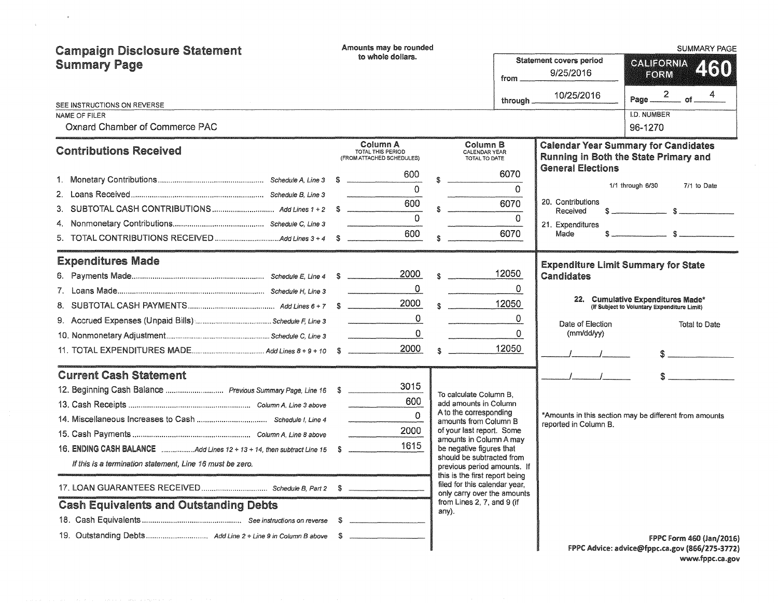| <b>Campaign Disclosure Statement</b>                                  | Amounts may be rounded |                                                            |                           |                                                                                                |          | <b>SUMMARY PAGE</b>                                    |                                                                                                                                                                                                                             |  |  |  |
|-----------------------------------------------------------------------|------------------------|------------------------------------------------------------|---------------------------|------------------------------------------------------------------------------------------------|----------|--------------------------------------------------------|-----------------------------------------------------------------------------------------------------------------------------------------------------------------------------------------------------------------------------|--|--|--|
| <b>Summary Page</b>                                                   |                        | to whole dollars.                                          |                           |                                                                                                | from     | <b>Statement covers period</b><br>9/25/2016            | <b>CALIFORNIA</b><br>460<br>FORM                                                                                                                                                                                            |  |  |  |
|                                                                       |                        |                                                            |                           |                                                                                                | through. | 10/25/2016                                             | Page $\frac{2}{\sqrt{1-\frac{4}{5}}}$ of $\frac{4}{\sqrt{1-\frac{4}{5}}}$                                                                                                                                                   |  |  |  |
| SEE INSTRUCTIONS ON REVERSE<br><b>NAME OF FILER</b>                   |                        |                                                            |                           |                                                                                                |          |                                                        | I.D. NUMBER                                                                                                                                                                                                                 |  |  |  |
| Oxnard Chamber of Commerce PAC                                        |                        |                                                            |                           |                                                                                                |          |                                                        | 96-1270                                                                                                                                                                                                                     |  |  |  |
| <b>Contributions Received</b>                                         |                        | Column A<br>TOTAL THIS PERIOD<br>(FROM ATTACHED SCHEDULES) |                           | Column B<br>CALENDAR YEAR<br>TOTAL TO DATE                                                     |          |                                                        | <b>Calendar Year Summary for Candidates</b><br>Running in Both the State Primary and                                                                                                                                        |  |  |  |
|                                                                       |                        | 600                                                        | s.                        |                                                                                                | 6070     | <b>General Elections</b>                               |                                                                                                                                                                                                                             |  |  |  |
|                                                                       |                        | $\Omega$                                                   |                           |                                                                                                | $\Omega$ |                                                        | 1/1 through 6/30<br>7/1 to Date                                                                                                                                                                                             |  |  |  |
|                                                                       |                        | 600                                                        |                           |                                                                                                | 6070     | 20. Contributions                                      |                                                                                                                                                                                                                             |  |  |  |
|                                                                       |                        | $\Omega$                                                   |                           |                                                                                                | $\Omega$ | Received                                               | $s$ $s$                                                                                                                                                                                                                     |  |  |  |
|                                                                       |                        | 600                                                        |                           |                                                                                                | 6070     | 21. Expenditures<br>Made                               |                                                                                                                                                                                                                             |  |  |  |
|                                                                       |                        |                                                            |                           |                                                                                                |          |                                                        |                                                                                                                                                                                                                             |  |  |  |
| <b>Expenditures Made</b>                                              |                        | 2000                                                       |                           |                                                                                                | 12050    |                                                        | <b>Expenditure Limit Summary for State</b>                                                                                                                                                                                  |  |  |  |
|                                                                       |                        |                                                            | $\mathbf{R}$              |                                                                                                | 0        | <b>Candidates</b>                                      |                                                                                                                                                                                                                             |  |  |  |
|                                                                       |                        | 0<br>2000                                                  |                           |                                                                                                | 12050    |                                                        | 22. Cumulative Expenditures Made*                                                                                                                                                                                           |  |  |  |
|                                                                       |                        |                                                            |                           | $\mathbf{s}$                                                                                   |          |                                                        | (If Subject to Voluntary Expenditure Limit)                                                                                                                                                                                 |  |  |  |
|                                                                       |                        | $\mathbf 0$                                                |                           |                                                                                                | 0        | Date of Election                                       | Total to Date                                                                                                                                                                                                               |  |  |  |
|                                                                       |                        | $\mathbf 0$                                                |                           |                                                                                                | $\Omega$ | (mm/dd/yy)                                             |                                                                                                                                                                                                                             |  |  |  |
|                                                                       |                        | 2000                                                       | $\mathfrak{P}_\mathbf{h}$ |                                                                                                | 12050    |                                                        |                                                                                                                                                                                                                             |  |  |  |
| <b>Current Cash Statement</b>                                         |                        |                                                            |                           |                                                                                                |          |                                                        | $S_2$ and $S_3$ and $S_4$ and $S_5$ and $S_6$ and $S_7$ and $S_8$ and $S_9$ and $S_9$ and $S_9$ and $S_9$ and $S_9$ and $S_9$ and $S_9$ and $S_9$ and $S_9$ and $S_9$ and $S_9$ and $S_9$ and $S_9$ and $S_9$ and $S_9$ and |  |  |  |
| 12. Beginning Cash Balance  Previous Summary Page, Line 16 \$         |                        | 3015                                                       |                           | To calculate Column B,                                                                         |          |                                                        |                                                                                                                                                                                                                             |  |  |  |
|                                                                       |                        | 600                                                        |                           | add amounts in Column                                                                          |          |                                                        |                                                                                                                                                                                                                             |  |  |  |
|                                                                       |                        | $\Omega$                                                   |                           | A to the corresponding<br>amounts from Column B                                                |          | *Amounts in this section may be different from amounts |                                                                                                                                                                                                                             |  |  |  |
|                                                                       |                        | 2000                                                       |                           | of your last report. Some                                                                      |          | reported in Column B.                                  |                                                                                                                                                                                                                             |  |  |  |
| 16. ENDING CASH BALANCE Add Lines 12 + 13 + 14, then subtract Line 15 | S                      | 1615                                                       |                           | amounts in Column A may<br>be negative figures that                                            |          |                                                        |                                                                                                                                                                                                                             |  |  |  |
| If this is a termination statement, Line 16 must be zero.             |                        |                                                            |                           | should be subtracted from<br>previous period amounts. If                                       |          |                                                        |                                                                                                                                                                                                                             |  |  |  |
|                                                                       |                        |                                                            |                           | this is the first report being<br>filed for this calendar year,<br>only carry over the amounts |          |                                                        |                                                                                                                                                                                                                             |  |  |  |
| <b>Cash Equivalents and Outstanding Debts</b>                         |                        |                                                            |                           | from Lines 2, 7, and 9 (if                                                                     |          |                                                        |                                                                                                                                                                                                                             |  |  |  |
|                                                                       | S                      |                                                            |                           | any).                                                                                          |          |                                                        |                                                                                                                                                                                                                             |  |  |  |
|                                                                       |                        |                                                            |                           |                                                                                                |          |                                                        | FPPC Form 460 (Jan/2016)                                                                                                                                                                                                    |  |  |  |
|                                                                       |                        |                                                            |                           |                                                                                                |          |                                                        | FPPC Advice: advice@fppc.ca.gov (866/275-3772)                                                                                                                                                                              |  |  |  |

FPPC Advice: advice@fppc.ca.gov (866/275-3772) www.fppc.ca.gov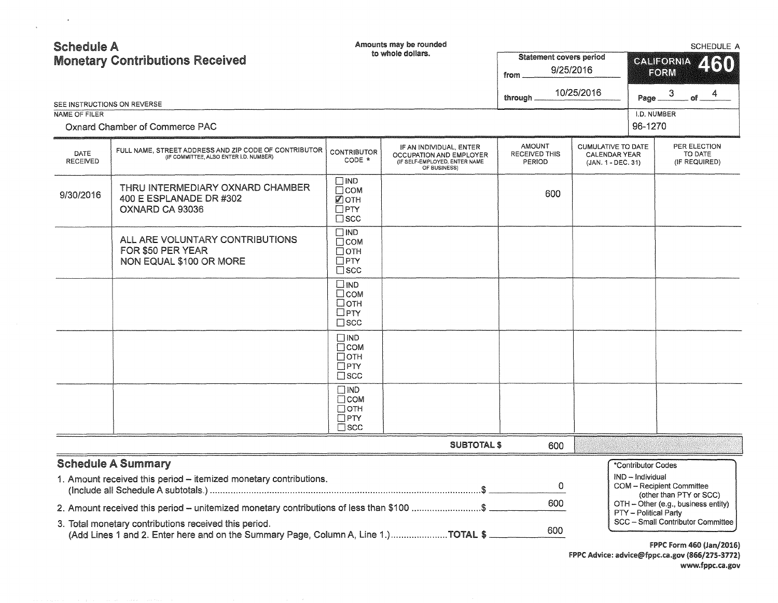| <b>Schedule A</b>       | <b>Monetary Contributions Received</b>                                                                                                                                                                                                  | Amounts may be rounded<br>to whole dollars.                                 |                                                                                                     | <b>Statement covers period</b><br>9/25/2016<br>from<br>10/25/2016<br>through $-$ | SCHEDULE A<br><b>CALIFORNIA</b><br>260<br>FORM<br>3<br>of $ 4$<br>Page _ |                                        |                                                      |                                          |
|-------------------------|-----------------------------------------------------------------------------------------------------------------------------------------------------------------------------------------------------------------------------------------|-----------------------------------------------------------------------------|-----------------------------------------------------------------------------------------------------|----------------------------------------------------------------------------------|--------------------------------------------------------------------------|----------------------------------------|------------------------------------------------------|------------------------------------------|
| NAME OF FILER           | SEE INSTRUCTIONS ON REVERSE<br>Oxnard Chamber of Commerce PAC                                                                                                                                                                           |                                                                             |                                                                                                     |                                                                                  |                                                                          | I.D. NUMBER<br>96-1270                 |                                                      |                                          |
| DATE<br><b>RECEIVED</b> | FULL NAME, STREET ADDRESS AND ZIP CODE OF CONTRIBUTOR<br>(IF COMMITTEE, ALSO ENTER I.D. NUMBER)                                                                                                                                         | <b>CONTRIBUTOR</b><br>CODE *                                                | IF AN INDIVIDUAL, ENTER<br>OCCUPATION AND EMPLOYER<br>(IF SELF-EMPLOYED, ENTER NAME<br>OF BUSINESS) | <b>AMOUNT</b><br>RECEIVED THIS<br>PERIOD                                         | <b>CUMULATIVE TO DATE</b><br><b>CALENDAR YEAR</b><br>(JAN. 1 - DEC. 31)  |                                        |                                                      | PER ELECTION<br>TO DATE<br>(IF REQUIRED) |
| 9/30/2016               | THRU INTERMEDIARY OXNARD CHAMBER<br>400 E ESPLANADE DR #302<br>OXNARD CA 93036                                                                                                                                                          | $\square$ IND<br>$\Box$ COM<br>■ОТН<br>$\square$ PTY<br>$\square$ scc       |                                                                                                     | 600                                                                              |                                                                          |                                        |                                                      |                                          |
|                         | ALL ARE VOLUNTARY CONTRIBUTIONS<br>FOR \$50 PER YEAR<br>NON EQUAL \$100 OR MORE                                                                                                                                                         | $\square$ IND<br>$\Box$ COM<br>$\Box$ OTH<br>$\square$ PTY<br>$\square$ scc |                                                                                                     |                                                                                  |                                                                          |                                        |                                                      |                                          |
|                         |                                                                                                                                                                                                                                         | $\square$ IND<br>$\square$ COM<br>□отн<br>$\Box$ PTY<br>$\square$ scc       |                                                                                                     |                                                                                  |                                                                          |                                        |                                                      |                                          |
|                         |                                                                                                                                                                                                                                         | $\square$ IND<br>$\Box$ COM<br>$\Box$ OTH<br>$\Box$ PTY<br>$\square$ SCC    |                                                                                                     |                                                                                  |                                                                          |                                        |                                                      |                                          |
|                         |                                                                                                                                                                                                                                         | $\Box$ IND<br>$\Box$ COM<br>$\Box$ OTH<br>$\Box$ PTY<br>$\square$ scc       |                                                                                                     |                                                                                  |                                                                          |                                        |                                                      |                                          |
|                         |                                                                                                                                                                                                                                         |                                                                             | <b>SUBTOTAL \$</b>                                                                                  | 600                                                                              |                                                                          |                                        |                                                      |                                          |
|                         | <b>Schedule A Summary</b><br>1. Amount received this period - itemized monetary contributions.                                                                                                                                          |                                                                             |                                                                                                     | 0                                                                                |                                                                          | *Contributor Codes<br>IND - Individual | COM - Recipient Committee<br>(other than PTY or SCC) |                                          |
|                         | 2. Amount received this period - unitemized monetary contributions of less than \$100 \$<br>3. Total monetary contributions received this period.<br>(Add Lines 1 and 2. Enter here and on the Summary Page, Column A, Line 1.)TOTAL \$ |                                                                             |                                                                                                     | 600<br>600                                                                       |                                                                          | PTY - Political Party                  | OTH - Other (e.g., business entity)                  | SCC - Small Contributor Committee        |

FPPC Form 460 (Jan/2016) FPPC Advice: advice@fppc.ca.gov (866/275-3772) www.fppc.ca.gov